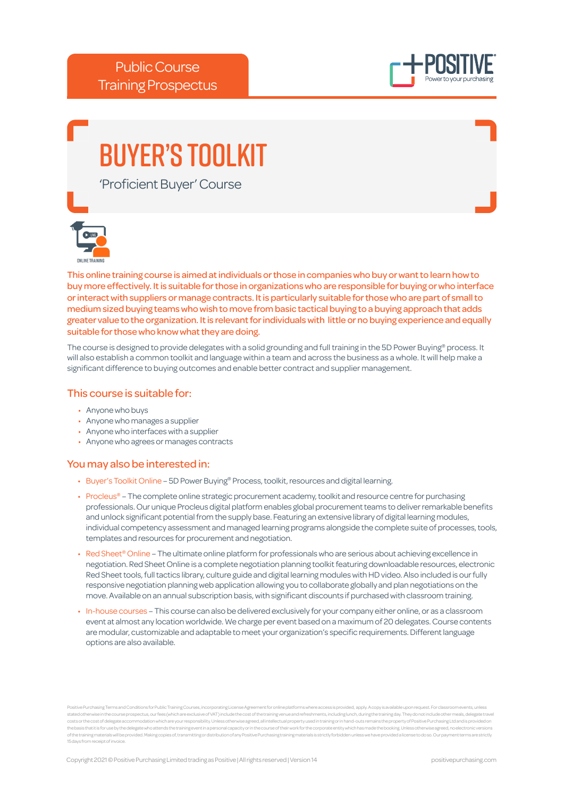

# Buyer's Toolkit

'Proficient Buyer' Course



This online training course is aimed at individuals or those in companies who buy or want to learn how to buy more effectively. It is suitable for those in organizations who are responsible for buying or who interface or interact with suppliers or manage contracts. It is particularly suitable for those who are part of small to medium sized buying teams who wish to move from basic tactical buying to a buying approach that adds greater value to the organization. It is relevant for individuals with little or no buying experience and equally suitable for those who know what they are doing.

The course is designed to provide delegates with a solid grounding and full training in the 5D Power Buying® process. It will also establish a common toolkit and language within a team and across the business as a whole. It will help make a significant difference to buying outcomes and enable better contract and supplier management.

# This course is suitable for:

- Anyone who buys
- Anyone who manages a supplier
- Anyone who interfaces with a supplier
- Anyone who agrees or manages contracts

# You may also be interested in:

- Buyer's Toolkit Online 5D Power Buying® Process, toolkit, resources and digital learning.
- Procleus® The complete online strategic procurement academy, toolkit and resource centre for purchasing professionals. Our unique Procleus digital platform enables global procurement teams to deliver remarkable benefits and unlock significant potential from the supply base. Featuring an extensive library of digital learning modules, individual competency assessment and managed learning programs alongside the complete suite of processes, tools, templates and resources for procurement and negotiation.
- Red Sheet® Online The ultimate online platform for professionals who are serious about achieving excellence in negotiation. Red Sheet Online is a complete negotiation planning toolkit featuring downloadable resources, electronic Red Sheet tools, full tactics library, culture guide and digital learning modules with HD video. Also included is our fully responsive negotiation planning web application allowing you to collaborate globally and plan negotiations on the move. Available on an annual subscription basis, with significant discounts if purchased with classroom training.
- In-house courses This course can also be delivered exclusively for your company either online, or as a classroom event at almost any location worldwide. We charge per event based on a maximum of 20 delegates. Course contents are modular, customizable and adaptable to meet your organization's specific requirements. Different language options are also available.

Positive Purchasing Terms and Conditions for Public Training Courses, incorporating License Agreement for online platforms where access is provided, apply. A copy is available upon request. For classroom events, unless stated otherwise in the course prospectus, our fees (which are exclusive of VAT) include the cost of the training venue and refreshments, including lunch, during the training day. They do not include other meals, delegate costs or the cost of delegate accommodation which are your responsibility. Unless otherwise agreed, all intellectual property used in training or in hand-outs remains the property of Positive Purchasing Ltd and is provided of the training materials will be provided. Making copies of, transmitting or distribution of any Positive Purchasing training materials is strictly forbidden unless we have provided a license to do so. Our payment terms a 15 days from receipt of invo